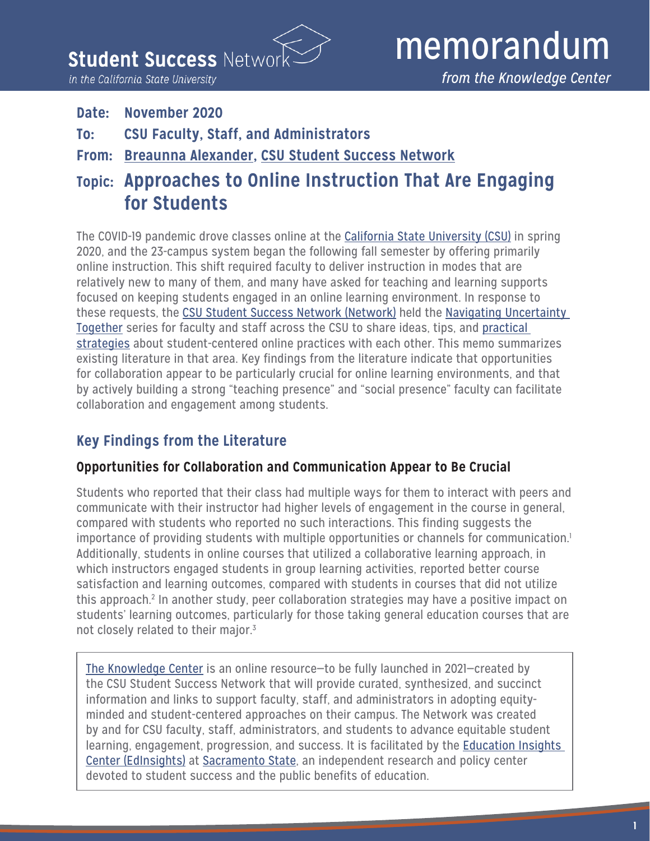**Student Success Netwo** 

in the California State University

#### **Date: November 2020**

- **To: CSU Faculty, Staff, and Administrators**
- **From: [Breaunna Alexander,](https://edinsightscenter.org/about/breaunna-alexander/) [CSU Student Success Network](http://csustudentsuccess.net/)**
- **Topic: Approaches to Online Instruction That Are Engaging for Students**

The COVID-19 pandemic drove classes online at the [California State University \(CSU\)](https://www2.calstate.edu/) in spring 2020, and the 23-campus system began the following fall semester by offering primarily online instruction. This shift required faculty to deliver instruction in modes that are relatively new to many of them, and many have asked for teaching and learning supports focused on keeping students engaged in an online learning environment. In response to these requests, the [CSU Student Success Network \(Network\)](http://csustudentsuccess.net/) held the [Navigating Uncertainty](http://csustudentsuccess.net/2020/10/csu-faculty-and-staff-share-strategies-to-support-students-online/)  [Together](http://csustudentsuccess.net/2020/10/csu-faculty-and-staff-share-strategies-to-support-students-online/) series for faculty and staff across the CSU to share ideas, tips, and [practical](http://csustudentsuccess.net/wp-content/uploads/2020/10/Idea-Practicioners.pdf)  [strategies](http://csustudentsuccess.net/wp-content/uploads/2020/10/Idea-Practicioners.pdf) about student-centered online practices with each other. This memo summarizes existing literature in that area. Key findings from the literature indicate that opportunities for collaboration appear to be particularly crucial for online learning environments, and that by actively building a strong "teaching presence" and "social presence" faculty can facilitate collaboration and engagement among students.

# **Key Findings from the Literature**

#### **Opportunities for Collaboration and Communication Appear to Be Crucial**

Students who reported that their class had multiple ways for them to interact with peers and communicate with their instructor had higher levels of engagement in the course in general, compared with students who reported no such interactions. This finding suggests the importance of providing students with multiple opportunities or channels for communication.<sup>1</sup> Additionally, students in online courses that utilized a collaborative learning approach, in which instructors engaged students in group learning activities, reported better course satisfaction and learning outcomes, compared with students in courses that did not utilize this approach.<sup>2</sup> In another study, peer collaboration strategies may have a positive impact on students' learning outcomes, particularly for those taking general education courses that are not closely related to their major.<sup>3</sup>

[The Knowledge Center](http://csustudentsuccess.net/csunetworkknowledgecenter/) is an online resource—to be fully launched in 2021—created by the CSU Student Success Network that will provide curated, synthesized, and succinct information and links to support faculty, staff, and administrators in adopting equityminded and student-centered approaches on their campus. The Network was created by and for CSU faculty, staff, administrators, and students to advance equitable student learning, engagement, progression, and success. It is facilitated by the [Education Insights](https://edinsightscenter.org/)  [Center \(EdInsights\)](https://edinsightscenter.org/) at [Sacramento State](https://www.csus.edu/), an independent research and policy center devoted to student success and the public benefits of education.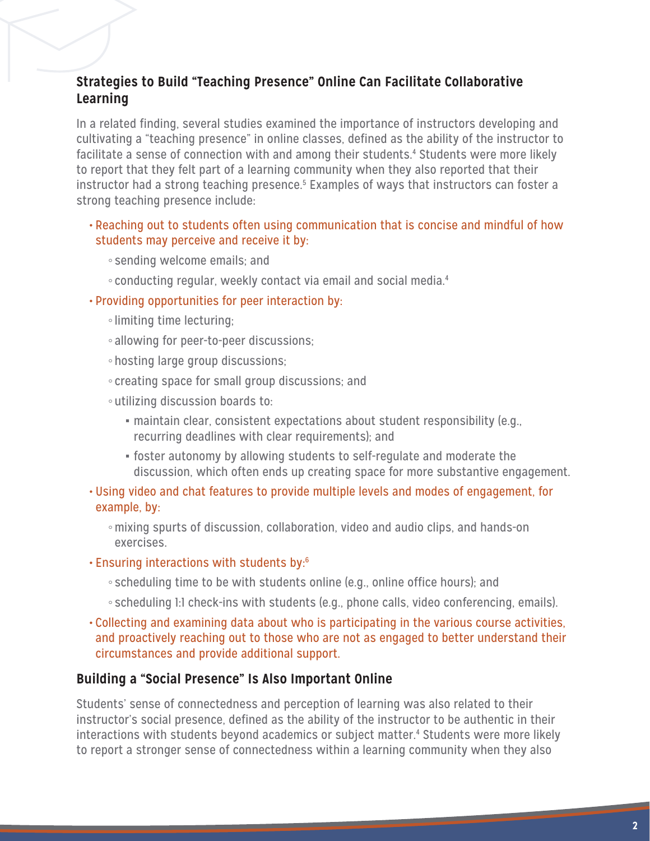### **Strategies to Build "Teaching Presence" Online Can Facilitate Collaborative Learning**

In a related finding, several studies examined the importance of instructors developing and cultivating a "teaching presence" in online classes, defined as the ability of the instructor to facilitate a sense of connection with and among their students.<sup>4</sup> Students were more likely to report that they felt part of a learning community when they also reported that their instructor had a strong teaching presence.<sup>5</sup> Examples of ways that instructors can foster a strong teaching presence include:

- Reaching out to students often using communication that is concise and mindful of how students may perceive and receive it by:
	- sending welcome emails; and
	- conducting regular, weekly contact via email and social media.4
- Providing opportunities for peer interaction by:
	- ◦limiting time lecturing;
	- allowing for peer-to-peer discussions;
	- hosting large group discussions;
	- creating space for small group discussions; and
	- utilizing discussion boards to:
		- **maintain clear, consistent expectations about student responsibility (e.g.,** recurring deadlines with clear requirements); and
		- **•** foster autonomy by allowing students to self-regulate and moderate the discussion, which often ends up creating space for more substantive engagement.
- Using video and chat features to provide multiple levels and modes of engagement, for example, by:
	- ◦mixing spurts of discussion, collaboration, video and audio clips, and hands-on exercises.
- Ensuring interactions with students by:6
	- scheduling time to be with students online (e.g., online office hours); and
	- scheduling 1:1 check-ins with students (e.g., phone calls, video conferencing, emails).
- Collecting and examining data about who is participating in the various course activities, and proactively reaching out to those who are not as engaged to better understand their circumstances and provide additional support.

#### **Building a "Social Presence" Is Also Important Online**

Students' sense of connectedness and perception of learning was also related to their instructor's social presence, defined as the ability of the instructor to be authentic in their interactions with students beyond academics or subject matter.4 Students were more likely to report a stronger sense of connectedness within a learning community when they also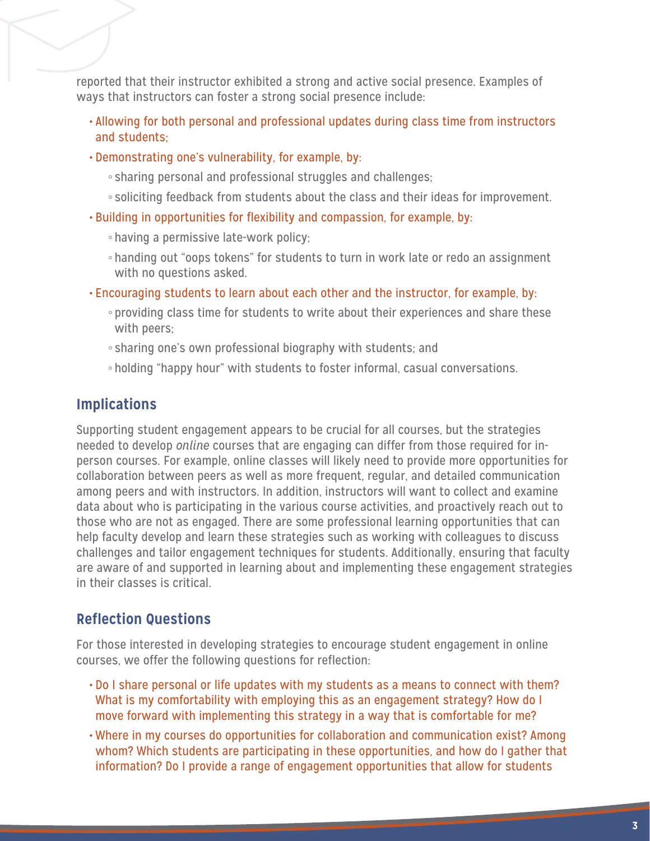reported that their instructor exhibited a strong and active social presence. Examples of ways that instructors can foster a strong social presence include:

- Allowing for both personal and professional updates during class time from instructors and students;
- Demonstrating one's vulnerability, for example, by:
	- sharing personal and professional struggles and challenges;
	- soliciting feedback from students about the class and their ideas for improvement.
- Building in opportunities for flexibility and compassion, for example, by:
	- having a permissive late-work policy;
	- handing out "oops tokens" for students to turn in work late or redo an assignment with no questions asked.
- Encouraging students to learn about each other and the instructor, for example, by:
	- providing class time for students to write about their experiences and share these with peers;
	- sharing one's own professional biography with students; and
	- holding "happy hour" with students to foster informal, casual conversations.

### **Implications**

Supporting student engagement appears to be crucial for all courses, but the strategies needed to develop *online* courses that are engaging can differ from those required for inperson courses. For example, online classes will likely need to provide more opportunities for collaboration between peers as well as more frequent, regular, and detailed communication among peers and with instructors. In addition, instructors will want to collect and examine data about who is participating in the various course activities, and proactively reach out to those who are not as engaged. There are some professional learning opportunities that can help faculty develop and learn these strategies such as working with colleagues to discuss challenges and tailor engagement techniques for students. Additionally, ensuring that faculty are aware of and supported in learning about and implementing these engagement strategies in their classes is critical.

## **Reflection Questions**

For those interested in developing strategies to encourage student engagement in online courses, we offer the following questions for reflection:

- Do I share personal or life updates with my students as a means to connect with them? What is my comfortability with employing this as an engagement strategy? How do I move forward with implementing this strategy in a way that is comfortable for me?
- Where in my courses do opportunities for collaboration and communication exist? Among whom? Which students are participating in these opportunities, and how do I gather that information? Do I provide a range of engagement opportunities that allow for students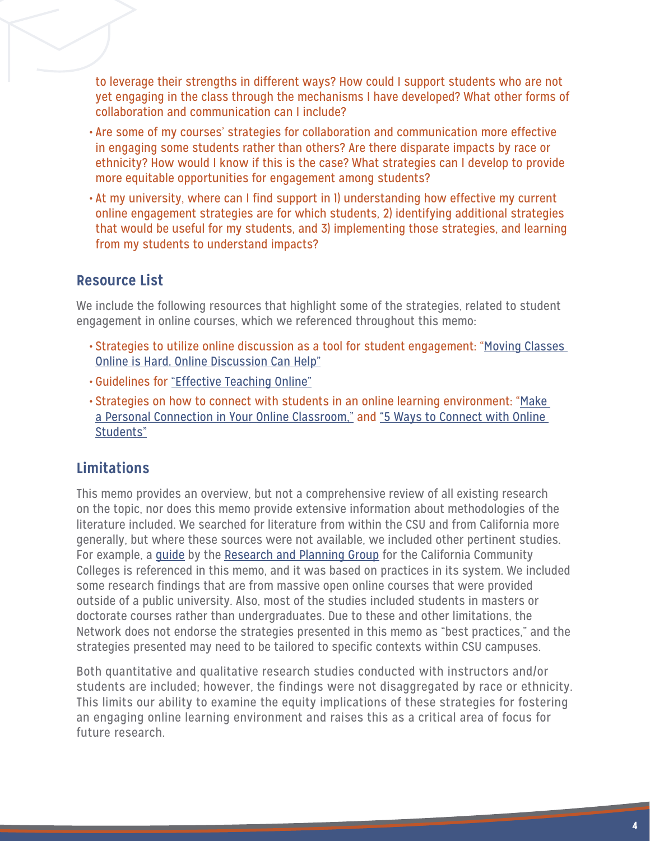to leverage their strengths in different ways? How could I support students who are not yet engaging in the class through the mechanisms I have developed? What other forms of collaboration and communication can I include?

- Are some of my courses' strategies for collaboration and communication more effective in engaging some students rather than others? Are there disparate impacts by race or ethnicity? How would I know if this is the case? What strategies can I develop to provide more equitable opportunities for engagement among students?
- At my university, where can I find support in 1) understanding how effective my current online engagement strategies are for which students, 2) identifying additional strategies that would be useful for my students, and 3) implementing those strategies, and learning from my students to understand impacts?

# **Resource List**

We include the following resources that highlight some of the strategies, related to student engagement in online courses, which we referenced throughout this memo:

- Strategies to utilize online discussion as a tool for student engagement: ["Moving Classes](https://www.insidehighered.com/advice/2020/04/01/how-cultivate-student-collaboration-and-engagement-online-learning-opinion)  [Online is Hard. Online Discussion Can Help"](https://www.insidehighered.com/advice/2020/04/01/how-cultivate-student-collaboration-and-engagement-online-learning-opinion)
- Guidelines for ["Effective Teaching Online"](https://www.insidehighered.com/digital-learning/article/2017/07/12/7-guidelines-effective-teaching-online)
- Strategies on how to connect with students in an online learning environment: "[Make](https://www.onlinecollege.org/2013/07/22/make-a-personal-connection-in-your-online-classroom/)  [a Personal Connection in Your Online Classroom,"](https://www.onlinecollege.org/2013/07/22/make-a-personal-connection-in-your-online-classroom/) and "5 Ways to Connect with Online [Students"](https://www.chronicle.com/article/5-ways-to-connect-with-online-students?cid=gen_sign_in)

# **Limitations**

This memo provides an overview, but not a comprehensive review of all existing research on the topic, nor does this memo provide extensive information about methodologies of the literature included. We searched for literature from within the CSU and from California more generally, but where these sources were not available, we included other pertinent studies. For example, a [guide](https://rpgroup.org/Portals/0/Documents/Projects/CCC_Guided_Pathways/UsingSSRDSuccessFactorsToEnsureLearning_June2020.pdf?ver=2020-07-28-090752-647 ) by the [Research and Planning Group](https://rpgroup.org/) for the California Community Colleges is referenced in this memo, and it was based on practices in its system. We included some research findings that are from massive open online courses that were provided outside of a public university. Also, most of the studies included students in masters or doctorate courses rather than undergraduates. Due to these and other limitations, the Network does not endorse the strategies presented in this memo as "best practices," and the strategies presented may need to be tailored to specific contexts within CSU campuses.

Both quantitative and qualitative research studies conducted with instructors and/or students are included; however, the findings were not disaggregated by race or ethnicity. This limits our ability to examine the equity implications of these strategies for fostering an engaging online learning environment and raises this as a critical area of focus for future research.